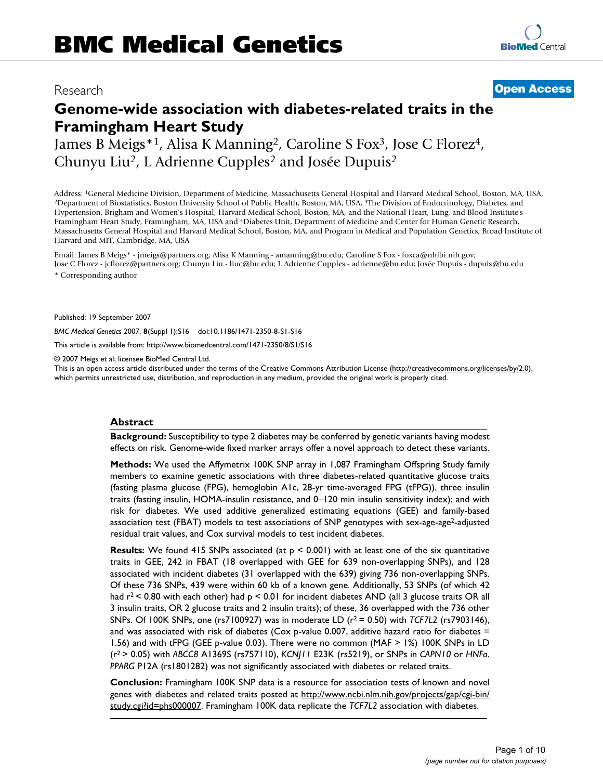# Research **[Open Access](http://www.biomedcentral.com/info/about/charter/)**

# **Genome-wide association with diabetes-related traits in the Framingham Heart Study**

James B Meigs\*1, Alisa K Manning2, Caroline S Fox3, Jose C Florez4, Chunyu Liu2, L Adrienne Cupples2 and Josée Dupuis2

Address: <sup>1</sup>General Medicine Division, Department of Medicine, Massachusetts General Hospital and Harvard Medical School, Boston, MA, USA, <sup>2</sup>Department of Biostatistics, Boston University School of Public Health, Boston, Hypertension, Brigham and Women's Hospital, Harvard Medical School, Boston, MA, and the National Heart, Lung, and Blood Institute's Framingham Heart Study, Framingham, MA, USA and 4Diabetes Unit, Department of Medicine and Center for Human Genetic Research, Massachusetts General Hospital and Harvard Medical School, Boston, MA, and Program in Medical and Population Genetics, Broad Institute of Harvard and MIT, Cambridge, MA, USA

Email: James B Meigs\* - jmeigs@partners.org; Alisa K Manning - amanning@bu.edu; Caroline S Fox - foxca@nhlbi.nih.gov; Jose C Florez - jcflorez@partners.org; Chunyu Liu - liuc@bu.edu; L Adrienne Cupples - adrienne@bu.edu; Josée Dupuis - dupuis@bu.edu \* Corresponding author

Published: 19 September 2007

*BMC Medical Genetics* 2007, **8**(Suppl 1):S16 doi:10.1186/1471-2350-8-S1-S16

[This article is available from: http://www.biomedcentral.com/1471-2350/8/S1/S16](http://www.biomedcentral.com/1471-2350/8/S1/S16)

© 2007 Meigs et al; licensee BioMed Central Ltd.

This is an open access article distributed under the terms of the Creative Commons Attribution License [\(http://creativecommons.org/licenses/by/2.0\)](http://creativecommons.org/licenses/by/2.0), which permits unrestricted use, distribution, and reproduction in any medium, provided the original work is properly cited.

# **Abstract**

**Background:** Susceptibility to type 2 diabetes may be conferred by genetic variants having modest effects on risk. Genome-wide fixed marker arrays offer a novel approach to detect these variants.

**Methods:** We used the Affymetrix 100K SNP array in 1,087 Framingham Offspring Study family members to examine genetic associations with three diabetes-related quantitative glucose traits (fasting plasma glucose (FPG), hemoglobin A1c, 28-yr time-averaged FPG (tFPG)), three insulin traits (fasting insulin, HOMA-insulin resistance, and 0–120 min insulin sensitivity index); and with risk for diabetes. We used additive generalized estimating equations (GEE) and family-based association test (FBAT) models to test associations of SNP genotypes with sex-age-age2-adjusted residual trait values, and Cox survival models to test incident diabetes.

**Results:** We found 415 SNPs associated (at  $p \le 0.001$ ) with at least one of the six quantitative traits in GEE, 242 in FBAT (18 overlapped with GEE for 639 non-overlapping SNPs), and 128 associated with incident diabetes (31 overlapped with the 639) giving 736 non-overlapping SNPs. Of these 736 SNPs, 439 were within 60 kb of a known gene. Additionally, 53 SNPs (of which 42 had  $r^2$  < 0.80 with each other) had  $p$  < 0.01 for incident diabetes AND (all 3 glucose traits OR all 3 insulin traits, OR 2 glucose traits and 2 insulin traits); of these, 36 overlapped with the 736 other SNPs. Of 100K SNPs, one (rs7100927) was in moderate LD (r2 = 0.50) with *TCF7L2* (rs7903146), and was associated with risk of diabetes (Cox p-value 0.007, additive hazard ratio for diabetes = 1.56) and with tFPG (GEE p-value 0.03). There were no common (MAF > 1%) 100K SNPs in LD (r2 > 0.05) with *ABCC8* A1369S (rs757110), *KCNJ11* E23K (rs5219), or SNPs in *CAPN10* or *HNFa*. *PPARG* P12A (rs1801282) was not significantly associated with diabetes or related traits.

**Conclusion:** Framingham 100K SNP data is a resource for association tests of known and novel genes with diabetes and related traits posted at [http://www.ncbi.nlm.nih.gov/projects/gap/cgi-bin/](http://www.ncbi.nlm.nih.gov/projects/gap/cgi-bin/study.cgi?id=phs000007) [study.cgi?id=phs000007](http://www.ncbi.nlm.nih.gov/projects/gap/cgi-bin/study.cgi?id=phs000007). Framingham 100K data replicate the *TCF7L2* association with diabetes.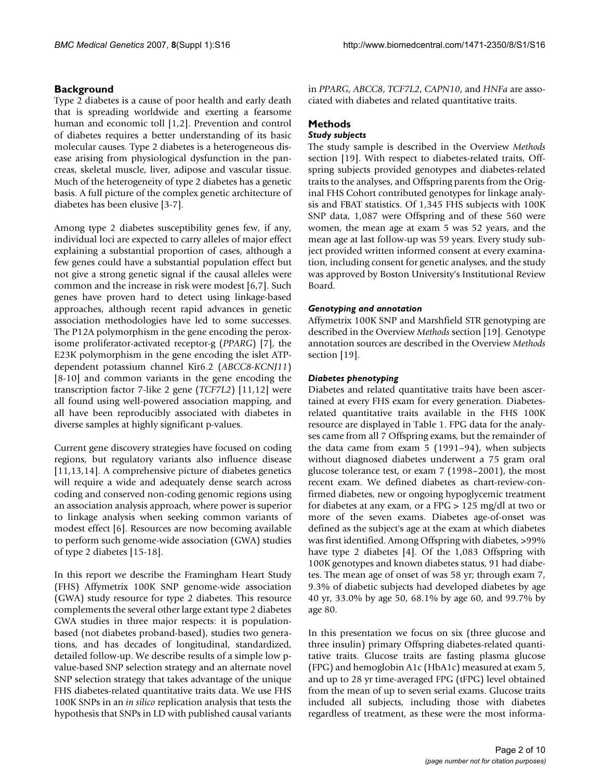# **Background**

Type 2 diabetes is a cause of poor health and early death that is spreading worldwide and exerting a fearsome human and economic toll [1,2]. Prevention and control of diabetes requires a better understanding of its basic molecular causes. Type 2 diabetes is a heterogeneous disease arising from physiological dysfunction in the pancreas, skeletal muscle, liver, adipose and vascular tissue. Much of the heterogeneity of type 2 diabetes has a genetic basis. A full picture of the complex genetic architecture of diabetes has been elusive [3-7].

Among type 2 diabetes susceptibility genes few, if any, individual loci are expected to carry alleles of major effect explaining a substantial proportion of cases, although a few genes could have a substantial population effect but not give a strong genetic signal if the causal alleles were common and the increase in risk were modest [6,7]. Such genes have proven hard to detect using linkage-based approaches, although recent rapid advances in genetic association methodologies have led to some successes. The P12A polymorphism in the gene encoding the peroxisome proliferator-activated receptor-g (*PPARG*) [7], the E23K polymorphism in the gene encoding the islet ATPdependent potassium channel Kir6.2 (*ABCC8*-*KCNJ11*) [8-10] and common variants in the gene encoding the transcription factor 7-like 2 gene (*TCF7L2*) [11,12] were all found using well-powered association mapping, and all have been reproducibly associated with diabetes in diverse samples at highly significant p-values.

Current gene discovery strategies have focused on coding regions, but regulatory variants also influence disease [11,13,14]. A comprehensive picture of diabetes genetics will require a wide and adequately dense search across coding and conserved non-coding genomic regions using an association analysis approach, where power is superior to linkage analysis when seeking common variants of modest effect [6]. Resources are now becoming available to perform such genome-wide association (GWA) studies of type 2 diabetes [15-18].

In this report we describe the Framingham Heart Study (FHS) Affymetrix 100K SNP genome-wide association (GWA) study resource for type 2 diabetes. This resource complements the several other large extant type 2 diabetes GWA studies in three major respects: it is populationbased (not diabetes proband-based), studies two generations, and has decades of longitudinal, standardized, detailed follow-up. We describe results of a simple low pvalue-based SNP selection strategy and an alternate novel SNP selection strategy that takes advantage of the unique FHS diabetes-related quantitative traits data. We use FHS 100K SNPs in an *in silico* replication analysis that tests the hypothesis that SNPs in LD with published causal variants

in *PPARG*, *ABCC8*, *TCF7L2*, *CAPN10*, and *HNFa* are associated with diabetes and related quantitative traits.

# **Methods**

# *Study subjects*

The study sample is described in the Overview *Methods* section [19]. With respect to diabetes-related traits, Offspring subjects provided genotypes and diabetes-related traits to the analyses, and Offspring parents from the Original FHS Cohort contributed genotypes for linkage analysis and FBAT statistics. Of 1,345 FHS subjects with 100K SNP data, 1,087 were Offspring and of these 560 were women, the mean age at exam 5 was 52 years, and the mean age at last follow-up was 59 years. Every study subject provided written informed consent at every examination, including consent for genetic analyses, and the study was approved by Boston University's Institutional Review Board.

# *Genotyping and annotation*

Affymetrix 100K SNP and Marshfield STR genotyping are described in the Overview *Methods* section [19]. Genotype annotation sources are described in the Overview *Methods* section [19].

# *Diabetes phenotyping*

Diabetes and related quantitative traits have been ascertained at every FHS exam for every generation. Diabetesrelated quantitative traits available in the FHS 100K resource are displayed in Table 1. FPG data for the analyses came from all 7 Offspring exams, but the remainder of the data came from exam 5 (1991–94), when subjects without diagnosed diabetes underwent a 75 gram oral glucose tolerance test, or exam 7 (1998–2001), the most recent exam. We defined diabetes as chart-review-confirmed diabetes, new or ongoing hypoglycemic treatment for diabetes at any exam, or a FPG > 125 mg/dl at two or more of the seven exams. Diabetes age-of-onset was defined as the subject's age at the exam at which diabetes was first identified. Among Offspring with diabetes, >99% have type 2 diabetes [4]. Of the 1,083 Offspring with 100K genotypes and known diabetes status, 91 had diabetes. The mean age of onset of was 58 yr; through exam 7, 9.3% of diabetic subjects had developed diabetes by age 40 yr, 33.0% by age 50, 68.1% by age 60, and 99.7% by age 80.

In this presentation we focus on six (three glucose and three insulin) primary Offspring diabetes-related quantitative traits. Glucose traits are fasting plasma glucose (FPG) and hemoglobin A1c (HbA1c) measured at exam 5, and up to 28 yr time-averaged FPG (tFPG) level obtained from the mean of up to seven serial exams. Glucose traits included all subjects, including those with diabetes regardless of treatment, as these were the most informa-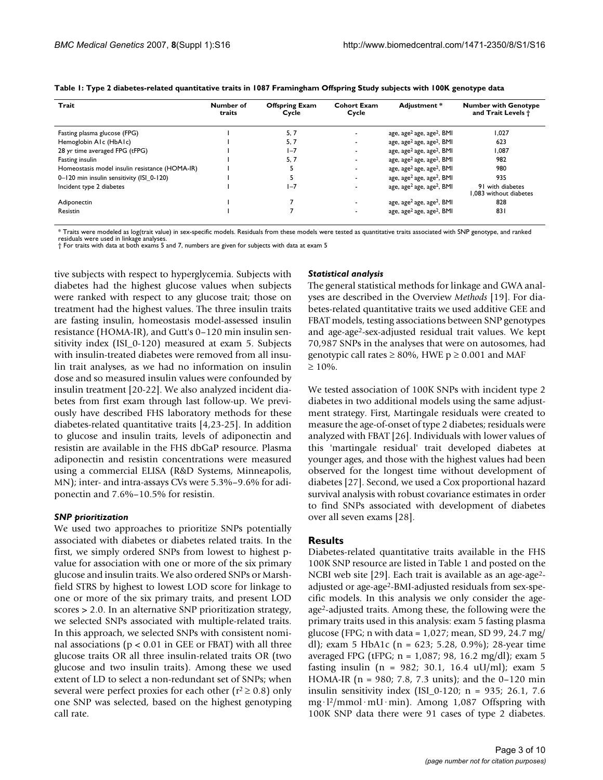| Trait                                          | Number of<br>traits | <b>Offspring Exam</b><br>Cycle | <b>Cohort Exam</b><br>Cycle | Adiustment *                                      | <b>Number with Genotype</b><br>and Trait Levels $\ddagger$ |
|------------------------------------------------|---------------------|--------------------------------|-----------------------------|---------------------------------------------------|------------------------------------------------------------|
| Fasting plasma glucose (FPG)                   |                     | 5, 7                           |                             | age, age <sup>2</sup> age, age <sup>2</sup> , BMI | 1,027                                                      |
| Hemoglobin AIc (HbAIc)                         |                     | 5, 7                           |                             | age, age <sup>2</sup> age, age <sup>2</sup> , BMI | 623                                                        |
| 28 yr time averaged FPG (tFPG)                 |                     | $I - 7$                        |                             | age, age <sup>2</sup> age, age <sup>2</sup> , BMI | 1,087                                                      |
| Fasting insulin                                |                     | 5, 7                           |                             | age, age <sup>2</sup> age, age <sup>2</sup> , BMI | 982                                                        |
| Homeostasis model insulin resistance (HOMA-IR) |                     |                                |                             | age, age <sup>2</sup> age, age <sup>2</sup> , BMI | 980                                                        |
| 0-120 min insulin sensitivity (ISI 0-120)      |                     |                                |                             | age, age <sup>2</sup> age, age <sup>2</sup> , BMI | 935                                                        |
| Incident type 2 diabetes                       |                     | $1 - 7$                        |                             | age, age <sup>2</sup> age, age <sup>2</sup> , BMI | 91 with diabetes<br>1.083 without diabetes                 |
| Adiponectin                                    |                     |                                |                             | age, age <sup>2</sup> age, age <sup>2</sup> , BMI | 828                                                        |
| Resistin                                       |                     |                                |                             | age, age <sup>2</sup> age, age <sup>2</sup> , BMI | 831                                                        |

| Table 1: Type 2 diabetes-related quantitative traits in 1087 Framingham Offspring Study subjects with 100K genotype data |  |  |
|--------------------------------------------------------------------------------------------------------------------------|--|--|
|--------------------------------------------------------------------------------------------------------------------------|--|--|

\* Traits were modeled as log(trait value) in sex-specific models. Residuals from these models were tested as quantitative traits associated with SNP genotype, and ranked

residuals were used in linkage analyses. † For traits with data at both exams 5 and 7, numbers are given for subjects with data at exam 5

tive subjects with respect to hyperglycemia. Subjects with diabetes had the highest glucose values when subjects were ranked with respect to any glucose trait; those on treatment had the highest values. The three insulin traits are fasting insulin, homeostasis model-assessed insulin resistance (HOMA-IR), and Gutt's 0–120 min insulin sensitivity index (ISI\_0-120) measured at exam 5. Subjects with insulin-treated diabetes were removed from all insulin trait analyses, as we had no information on insulin dose and so measured insulin values were confounded by insulin treatment [20-22]. We also analyzed incident diabetes from first exam through last follow-up. We previously have described FHS laboratory methods for these diabetes-related quantitative traits [4,23-25]. In addition to glucose and insulin traits, levels of adiponectin and resistin are available in the FHS dbGaP resource. Plasma adiponectin and resistin concentrations were measured using a commercial ELISA (R&D Systems, Minneapolis, MN); inter- and intra-assays CVs were 5.3%–9.6% for adiponectin and 7.6%–10.5% for resistin.

#### *SNP prioritization*

We used two approaches to prioritize SNPs potentially associated with diabetes or diabetes related traits. In the first, we simply ordered SNPs from lowest to highest pvalue for association with one or more of the six primary glucose and insulin traits. We also ordered SNPs or Marshfield STRS by highest to lowest LOD score for linkage to one or more of the six primary traits, and present LOD scores > 2.0. In an alternative SNP prioritization strategy, we selected SNPs associated with multiple-related traits. In this approach, we selected SNPs with consistent nominal associations ( $p < 0.01$  in GEE or FBAT) with all three glucose traits OR all three insulin-related traits OR (two glucose and two insulin traits). Among these we used extent of LD to select a non-redundant set of SNPs; when several were perfect proxies for each other ( $r^2 \ge 0.8$ ) only one SNP was selected, based on the highest genotyping call rate.

#### *Statistical analysis*

The general statistical methods for linkage and GWA analyses are described in the Overview *Methods* [19]. For diabetes-related quantitative traits we used additive GEE and FBAT models, testing associations between SNP genotypes and age-age2-sex-adjusted residual trait values. We kept 70,987 SNPs in the analyses that were on autosomes, had genotypic call rates  $\geq 80\%$ , HWE p  $\geq 0.001$  and MAF  $\geq 10\%$ .

We tested association of 100K SNPs with incident type 2 diabetes in two additional models using the same adjustment strategy. First, Martingale residuals were created to measure the age-of-onset of type 2 diabetes; residuals were analyzed with FBAT [26]. Individuals with lower values of this 'martingale residual' trait developed diabetes at younger ages, and those with the highest values had been observed for the longest time without development of diabetes [27]. Second, we used a Cox proportional hazard survival analysis with robust covariance estimates in order to find SNPs associated with development of diabetes over all seven exams [28].

#### **Results**

Diabetes-related quantitative traits available in the FHS 100K SNP resource are listed in Table 1 and posted on the NCBI web site [29]. Each trait is available as an age-age<sup>2</sup>adjusted or age-age2-BMI-adjusted residuals from sex-specific models. In this analysis we only consider the ageage2-adjusted traits. Among these, the following were the primary traits used in this analysis: exam 5 fasting plasma glucose (FPG; n with data =  $1,027$ ; mean, SD 99, 24.7 mg/ dl); exam 5 HbA1c (n = 623; 5.28, 0.9%); 28-year time averaged FPG (tFPG; n = 1,087; 98, 16.2 mg/dl); exam 5 fasting insulin (n = 982; 30.1, 16.4 uU/ml); exam 5 HOMA-IR (n = 980; 7.8, 7.3 units); and the 0–120 min insulin sensitivity index (ISI\_0-120; n = 935; 26.1, 7.6 mg·l2/mmol·mU·min). Among 1,087 Offspring with 100K SNP data there were 91 cases of type 2 diabetes.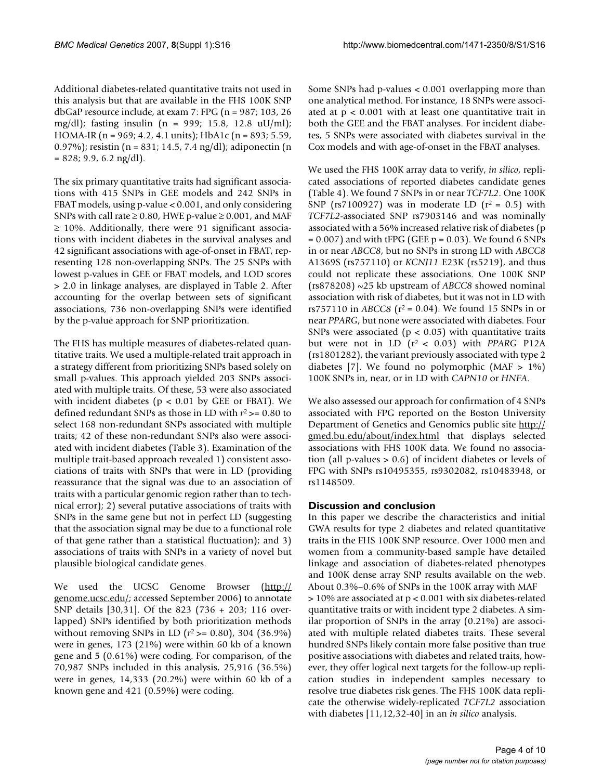Additional diabetes-related quantitative traits not used in this analysis but that are available in the FHS 100K SNP dbGaP resource include, at exam 7: FPG (n = 987; 103, 26 mg/dl); fasting insulin (n = 999; 15.8, 12.8 uU/ml); HOMA-IR (n = 969; 4.2, 4.1 units); HbA1c (n = 893; 5.59, 0.97%); resistin (n = 831; 14.5, 7.4 ng/dl); adiponectin (n  $= 828$ ; 9.9, 6.2 ng/dl).

The six primary quantitative traits had significant associations with 415 SNPs in GEE models and 242 SNPs in FBAT models, using p-value < 0.001, and only considering SNPs with call rate  $\geq 0.80$ , HWE p-value  $\geq 0.001$ , and MAF  $\geq$  10%. Additionally, there were 91 significant associations with incident diabetes in the survival analyses and 42 significant associations with age-of-onset in FBAT, representing 128 non-overlapping SNPs. The 25 SNPs with lowest p-values in GEE or FBAT models, and LOD scores > 2.0 in linkage analyses, are displayed in Table 2. After accounting for the overlap between sets of significant associations, 736 non-overlapping SNPs were identified by the p-value approach for SNP prioritization.

The FHS has multiple measures of diabetes-related quantitative traits. We used a multiple-related trait approach in a strategy different from prioritizing SNPs based solely on small p-values. This approach yielded 203 SNPs associated with multiple traits. Of these, 53 were also associated with incident diabetes ( $p < 0.01$  by GEE or FBAT). We defined redundant SNPs as those in LD with *r*2 >= 0.80 to select 168 non-redundant SNPs associated with multiple traits; 42 of these non-redundant SNPs also were associated with incident diabetes (Table 3). Examination of the multiple trait-based approach revealed 1) consistent associations of traits with SNPs that were in LD (providing reassurance that the signal was due to an association of traits with a particular genomic region rather than to technical error); 2) several putative associations of traits with SNPs in the same gene but not in perfect LD (suggesting that the association signal may be due to a functional role of that gene rather than a statistical fluctuation); and 3) associations of traits with SNPs in a variety of novel but plausible biological candidate genes.

We used the UCSC Genome Browser ([http://](http://genome.ucsc.edu/) [genome.ucsc.edu/;](http://genome.ucsc.edu/) accessed September 2006) to annotate SNP details [30,31]. Of the 823 (736 + 203; 116 overlapped) SNPs identified by both prioritization methods without removing SNPs in LD (*r*2 >= 0.80), 304 (36.9%) were in genes, 173 (21%) were within 60 kb of a known gene and 5 (0.61%) were coding. For comparison, of the 70,987 SNPs included in this analysis, 25,916 (36.5%) were in genes, 14,333 (20.2%) were within 60 kb of a known gene and 421 (0.59%) were coding.

Some SNPs had p-values < 0.001 overlapping more than one analytical method. For instance, 18 SNPs were associated at  $p < 0.001$  with at least one quantitative trait in both the GEE and the FBAT analyses. For incident diabetes, 5 SNPs were associated with diabetes survival in the Cox models and with age-of-onset in the FBAT analyses.

We used the FHS 100K array data to verify, *in silico*, replicated associations of reported diabetes candidate genes (Table 4). We found 7 SNPs in or near *TCF7L2*. One 100K SNP (rs7100927) was in moderate LD ( $r^2 = 0.5$ ) with *TCF7L2*-associated SNP rs7903146 and was nominally associated with a 56% increased relative risk of diabetes (p  $= 0.007$ ) and with tFPG (GEE p  $= 0.03$ ). We found 6 SNPs in or near *ABCC8*, but no SNPs in strong LD with *ABCC8* A1369S (rs757110) or *KCNJ11* E23K (rs5219), and thus could not replicate these associations. One 100K SNP (rs878208) ~25 kb upstream of *ABCC8* showed nominal association with risk of diabetes, but it was not in LD with rs757110 in *ABCC8* ( $r^2$  = 0.04). We found 15 SNPs in or near *PPARG*, but none were associated with diabetes. Four SNPs were associated ( $p < 0.05$ ) with quantitative traits but were not in LD  $(r^2 < 0.03)$  with *PPARG* P12A (rs1801282), the variant previously associated with type 2 diabetes [7]. We found no polymorphic (MAF  $> 1\%$ ) 100K SNPs in, near, or in LD with *CAPN10* or *HNFA*.

We also assessed our approach for confirmation of 4 SNPs associated with FPG reported on the Boston University Department of Genetics and Genomics public site [http://](http://gmed.bu.edu/about/index.html) [gmed.bu.edu/about/index.html](http://gmed.bu.edu/about/index.html) that displays selected associations with FHS 100K data. We found no association (all p-values > 0.6) of incident diabetes or levels of FPG with SNPs rs10495355, rs9302082, rs10483948, or rs1148509.

# **Discussion and conclusion**

In this paper we describe the characteristics and initial GWA results for type 2 diabetes and related quantitative traits in the FHS 100K SNP resource. Over 1000 men and women from a community-based sample have detailed linkage and association of diabetes-related phenotypes and 100K dense array SNP results available on the web. About 0.3%–0.6% of SNPs in the 100K array with MAF > 10% are associated at p < 0.001 with six diabetes-related quantitative traits or with incident type 2 diabetes. A similar proportion of SNPs in the array (0.21%) are associated with multiple related diabetes traits. These several hundred SNPs likely contain more false positive than true positive associations with diabetes and related traits, however, they offer logical next targets for the follow-up replication studies in independent samples necessary to resolve true diabetes risk genes. The FHS 100K data replicate the otherwise widely-replicated *TCF7L2* association with diabetes [11,12,32-40] in an *in silico* analysis.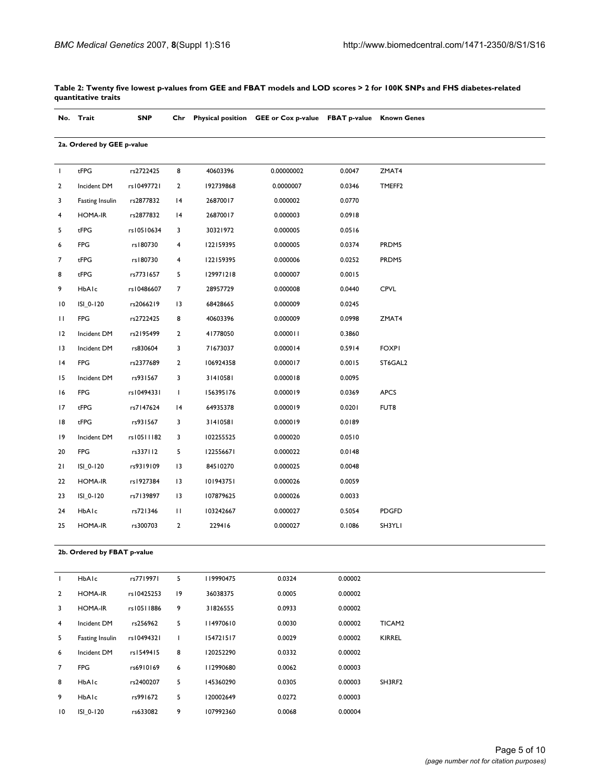|                 | No. Trait                  | <b>SNP</b> | Chr            |           | Physical position GEE or Cox p-value FBAT p-value Known Genes |        |                    |
|-----------------|----------------------------|------------|----------------|-----------|---------------------------------------------------------------|--------|--------------------|
|                 | 2a. Ordered by GEE p-value |            |                |           |                                                               |        |                    |
| T               | tFPG                       | rs2722425  | 8              | 40603396  | 0.00000002                                                    | 0.0047 | ZMAT4              |
| $\mathbf{2}$    | Incident DM                | rs10497721 | $\overline{2}$ | 192739868 | 0.0000007                                                     | 0.0346 | TMEFF <sub>2</sub> |
| 3               | Fasting Insulin            | rs2877832  | 4              | 26870017  | 0.000002                                                      | 0.0770 |                    |
| 4               | <b>HOMA-IR</b>             | rs2877832  | 4              | 26870017  | 0.000003                                                      | 0.0918 |                    |
| 5               | tFPG                       | rs10510634 | 3              | 30321972  | 0.000005                                                      | 0.0516 |                    |
| 6               | <b>FPG</b>                 | rs180730   | 4              | 122159395 | 0.000005                                                      | 0.0374 | PRDM5              |
| 7               | tFPG                       | rs180730   | 4              | 122159395 | 0.000006                                                      | 0.0252 | PRDM5              |
| 8               | tFPG                       | rs7731657  | 5              | 129971218 | 0.000007                                                      | 0.0015 |                    |
| 9               | HbAlc                      | rs10486607 | $\overline{7}$ | 28957729  | 0.000008                                                      | 0.0440 | <b>CPVL</b>        |
| $\overline{10}$ | ISI 0-120                  | rs2066219  | 3              | 68428665  | 0.000009                                                      | 0.0245 |                    |
| П               | <b>FPG</b>                 | rs2722425  | 8              | 40603396  | 0.000009                                                      | 0.0998 | ZMAT4              |
| 12              | Incident DM                | rs2195499  | $\overline{2}$ | 41778050  | 0.000011                                                      | 0.3860 |                    |
| 13              | Incident DM                | rs830604   | 3              | 71673037  | 0.000014                                                      | 0.5914 | <b>FOXPI</b>       |
| 4               | <b>FPG</b>                 | rs2377689  | $\overline{2}$ | 106924358 | 0.000017                                                      | 0.0015 | ST6GAL2            |
| 15              | Incident DM                | rs931567   | 3              | 31410581  | 0.000018                                                      | 0.0095 |                    |
| 16              | <b>FPG</b>                 | rs10494331 | T              | 156395176 | 0.000019                                                      | 0.0369 | <b>APCS</b>        |
| 17              | tFPG                       | rs7147624  | 4              | 64935378  | 0.000019                                                      | 0.0201 | FUT8               |
| 18              | tFPG                       | rs931567   | 3              | 31410581  | 0.000019                                                      | 0.0189 |                    |
| 19              | Incident DM                | rs10511182 | 3              | 102255525 | 0.000020                                                      | 0.0510 |                    |
| 20              | <b>FPG</b>                 | rs337112   | 5              | 122556671 | 0.000022                                                      | 0.0148 |                    |
| 21              | ISI_0-120                  | rs9319109  | 13             | 84510270  | 0.000025                                                      | 0.0048 |                    |
| 22              | <b>HOMA-IR</b>             | rs1927384  | 13             | 101943751 | 0.000026                                                      | 0.0059 |                    |
| 23              | ISI_0-120                  | rs7139897  | 3              | 107879625 | 0.000026                                                      | 0.0033 |                    |
| 24              | HbAlc                      | rs721346   | П              | 103242667 | 0.000027                                                      | 0.5054 | <b>PDGFD</b>       |
| 25              | <b>HOMA-IR</b>             | rs300703   | $\overline{2}$ | 229416    | 0.000027                                                      | 0.1086 | SH3YLI             |

**Table 2: Twenty five lowest p-values from GEE and FBAT models and LOD scores > 2 for 100K SNPs and FHS diabetes-related quantitative traits**

**2b. Ordered by FBAT p-value**

| T               | HbAlc           | rs7719971  | 5              | 119990475 | 0.0324 | 0.00002 |                    |
|-----------------|-----------------|------------|----------------|-----------|--------|---------|--------------------|
| $\overline{2}$  | <b>HOMA-IR</b>  | rs10425253 | $ 9\rangle$    | 36038375  | 0.0005 | 0.00002 |                    |
| 3               | <b>HOMA-IR</b>  | rs10511886 | 9              | 31826555  | 0.0933 | 0.00002 |                    |
| $\overline{4}$  | Incident DM     | rs256962   | 5              | 114970610 | 0.0030 | 0.00002 | TICAM <sub>2</sub> |
| 5               | Fasting Insulin | rs10494321 | $\mathbf{I}$   | 154721517 | 0.0029 | 0.00002 | <b>KIRREL</b>      |
| 6               | Incident DM     | rs1549415  | 8              | 120252290 | 0.0332 | 0.00002 |                    |
| $\overline{7}$  | <b>FPG</b>      | rs6910169  | 6              | 112990680 | 0.0062 | 0.00003 |                    |
| 8               | HbAIc           | rs2400207  | 5 <sup>1</sup> | 145360290 | 0.0305 | 0.00003 | SH3RF2             |
| 9               | HbAIc           | rs991672   | 5              | 120002649 | 0.0272 | 0.00003 |                    |
| $\overline{10}$ | ISI 0-120       | rs633082   | 9              | 107992360 | 0.0068 | 0.00004 |                    |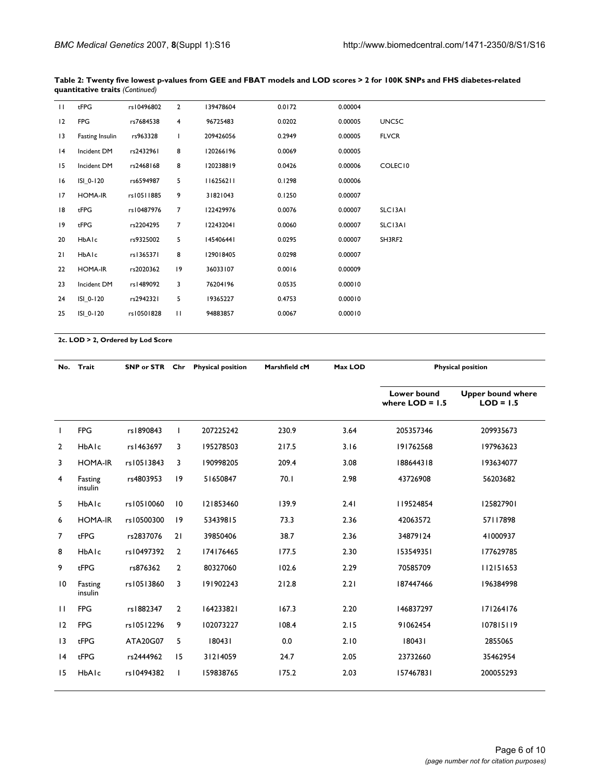| П  | tFPG            | rs10496802 | $\overline{2}$ | 139478604 | 0.0172 | 0.00004 |              |
|----|-----------------|------------|----------------|-----------|--------|---------|--------------|
| 12 | <b>FPG</b>      | rs7684538  | 4              | 96725483  | 0.0202 | 0.00005 | UNC5C        |
| 13 | Fasting Insulin | rs963328   |                | 209426056 | 0.2949 | 0.00005 | <b>FLVCR</b> |
| 4  | Incident DM     | rs2432961  | 8              | 120266196 | 0.0069 | 0.00005 |              |
| 15 | Incident DM     | rs2468168  | 8              | 120238819 | 0.0426 | 0.00006 | COLEC10      |
| 16 | ISI 0-120       | rs6594987  | 5              | 116256211 | 0.1298 | 0.00006 |              |
| 17 | <b>HOMA-IR</b>  | rs10511885 | 9              | 31821043  | 0.1250 | 0.00007 |              |
| 18 | tFPG            | rs10487976 | 7              | 122429976 | 0.0076 | 0.00007 | SLC13A1      |
| 19 | $t$ FPG         | rs2204295  | 7              | 122432041 | 0.0060 | 0.00007 | SLC13A1      |
| 20 | HbAlc           | rs9325002  | 5              | 145406441 | 0.0295 | 0.00007 | SH3RF2       |
| 21 | HbAlc           | rs1365371  | 8              | 129018405 | 0.0298 | 0.00007 |              |
| 22 | <b>HOMA-IR</b>  | rs2020362  | 19             | 36033107  | 0.0016 | 0.00009 |              |
| 23 | Incident DM     | rs1489092  | 3              | 76204196  | 0.0535 | 0.00010 |              |
| 24 | ISI 0-120       | rs2942321  | 5              | 19365227  | 0.4753 | 0.00010 |              |
| 25 | ISI 0-120       | rs10501828 | $\mathbf{H}$   | 94883857  | 0.0067 | 0.00010 |              |
|    |                 |            |                |           |        |         |              |

**Table 2: Twenty five lowest p-values from GEE and FBAT models and LOD scores > 2 for 100K SNPs and FHS diabetes-related quantitative traits** *(Continued)*

**2c. LOD > 2, Ordered by Lod Score**

| No.             | Trait              | SNP or STR Chr |                | <b>Physical position</b> | Marshfield cM | Max LOD |                                  | <b>Physical position</b>                |
|-----------------|--------------------|----------------|----------------|--------------------------|---------------|---------|----------------------------------|-----------------------------------------|
|                 |                    |                |                |                          |               |         | Lower bound<br>where $LOD = 1.5$ | <b>Upper bound where</b><br>$LOD = 1.5$ |
| $\mathbf{I}$    | <b>FPG</b>         | rs1890843      | $\mathbf{I}$   | 207225242                | 230.9         | 3.64    | 205357346                        | 209935673                               |
| $\overline{2}$  | HbAlc              | rs1463697      | 3              | 195278503                | 217.5         | 3.16    | 191762568                        | 197963623                               |
| 3               | <b>HOMA-IR</b>     | rs10513843     | 3              | 190998205                | 209.4         | 3.08    | 188644318                        | 193634077                               |
| 4               | Fasting<br>insulin | rs4803953      | 19             | 51650847                 | 70.1          | 2.98    | 43726908                         | 56203682                                |
| 5               | HbAlc              | rs10510060     | 10             | 121853460                | 139.9         | 2.41    | 119524854                        | 125827901                               |
| 6               | <b>HOMA-IR</b>     | rs10500300     | 9              | 53439815                 | 73.3          | 2.36    | 42063572                         | 57117898                                |
| 7               | tFPG               | rs2837076      | 21             | 39850406                 | 38.7          | 2.36    | 34879124                         | 41000937                                |
| 8               | HbAlc              | rs10497392     | $\overline{2}$ | 174176465                | 177.5         | 2.30    | 153549351                        | 177629785                               |
| 9               | tFPG               | rs876362       | $\overline{2}$ | 80327060                 | 102.6         | 2.29    | 70585709                         | 112151653                               |
| $\overline{10}$ | Fasting<br>insulin | rs10513860     | $\overline{3}$ | 191902243                | 212.8         | 2.21    | 187447466                        | 196384998                               |
| $\mathbf{H}$    | <b>FPG</b>         | rs1882347      | $\overline{2}$ | 164233821                | 167.3         | 2.20    | 146837297                        | 171264176                               |
| 12              | <b>FPG</b>         | rs10512296     | 9              | 102073227                | 108.4         | 2.15    | 91062454                         | 107815119                               |
| $\overline{13}$ | tFPG               | ATA20G07       | 5              | 180431                   | 0.0           | 2.10    | 180431                           | 2855065                                 |
| 4               | tFPG               | rs2444962      | 15             | 31214059                 | 24.7          | 2.05    | 23732660                         | 35462954                                |
| 15              | HbAlc              | rs10494382     | T              | 159838765                | 175.2         | 2.03    | 157467831                        | 200055293                               |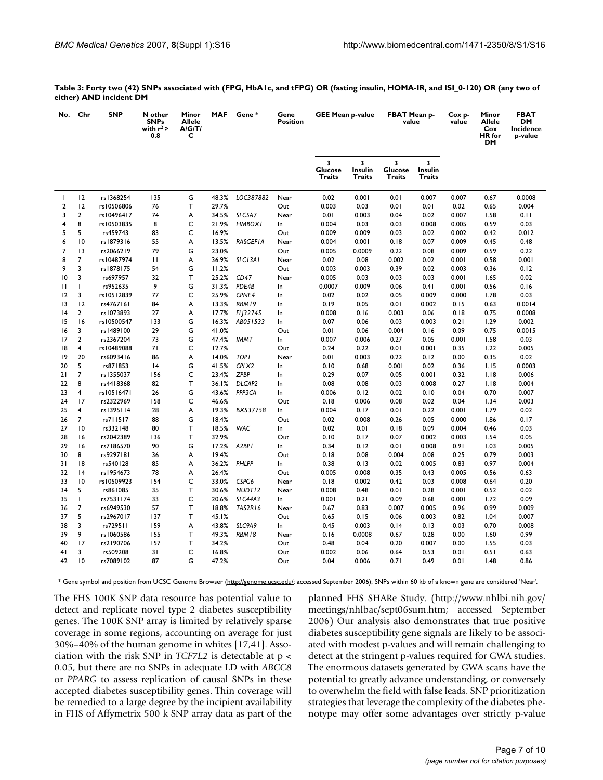| No.            | Chr             | <b>SNP</b> | N other<br><b>SNPs</b><br>with $r^2$<br>0.8 | Minor<br><b>Allele</b><br>A/G/T/<br>c | <b>MAF</b> | Gene*              | Gene<br><b>Position</b> | <b>GEE Mean p-value</b>       |                        | <b>FBAT Mean p-</b><br>value                 |                               | Cox p-<br>value | Minor<br><b>Allele</b><br>Cox<br><b>HR</b> for<br>DM | <b>FBAT</b><br><b>DM</b><br>Incidence<br>p-value |
|----------------|-----------------|------------|---------------------------------------------|---------------------------------------|------------|--------------------|-------------------------|-------------------------------|------------------------|----------------------------------------------|-------------------------------|-----------------|------------------------------------------------------|--------------------------------------------------|
|                |                 |            |                                             |                                       |            |                    |                         | 3<br><b>Glucose</b><br>Traits | 3<br>Insulin<br>Traits | $\overline{\mathbf{3}}$<br>Glucose<br>Traits | 3<br>Insulin<br><b>Traits</b> |                 |                                                      |                                                  |
| $\mathbf{I}$   | 12              | rs1368254  | 135                                         | G                                     | 48.3%      | LOC387882          | Near                    | 0.02                          | 0.001                  | 0.01                                         | 0.007                         | 0.007           | 0.67                                                 | 0.0008                                           |
| $\overline{2}$ | 12              | rs10506806 | 76                                          | T.                                    | 29.7%      |                    | Out                     | 0.003                         | 0.03                   | 0.01                                         | 0.01                          | 0.02            | 0.65                                                 | 0.004                                            |
| 3              | $\overline{2}$  | rs10496417 | 74                                          | Α                                     | 34.5%      | SLC5A7             | Near                    | 0.01                          | 0.003                  | 0.04                                         | 0.02                          | 0.007           | 1.58                                                 | 0.11                                             |
| 4              | 8               | rs10503835 | 8                                           | C                                     | 21.9%      | <b>HMBOX1</b>      | In                      | 0.004                         | 0.03                   | 0.03                                         | 0.008                         | 0.005           | 0.59                                                 | 0.03                                             |
| 5              | 5               | rs459743   | 83                                          | C                                     | 16.9%      |                    | Out                     | 0.009                         | 0.009                  | 0.03                                         | 0.02                          | 0.002           | 0.42                                                 | 0.012                                            |
| 6              | $\overline{10}$ | rs1879316  | 55                                          | A                                     | 13.5%      | <b>RASGEFIA</b>    | Near                    | 0.004                         | 0.001                  | 0.18                                         | 0.07                          | 0.009           | 0.45                                                 | 0.48                                             |
| $\overline{7}$ | $\overline{1}$  | rs2066219  | 79                                          | G                                     | 23.0%      |                    | Out                     | 0.005                         | 0.0009                 | 0.22                                         | 0.08                          | 0.009           | 0.59                                                 | 0.22                                             |
| 8              | $\overline{7}$  | rs10487974 | П                                           | A                                     | 36.9%      | SLC13A1            | Near                    | 0.02                          | 0.08                   | 0.002                                        | 0.02                          | 0.001           | 0.58                                                 | 0.001                                            |
| 9              | 3               | rs1878175  | 54                                          | G                                     | 11.2%      |                    | Out                     | 0.003                         | 0.003                  | 0.39                                         | 0.02                          | 0.003           | 0.36                                                 | 0.12                                             |
| 10             | 3               | rs697957   | 32                                          | т                                     | 25.2%      | CD47               | Near                    | 0.005                         | 0.03                   | 0.03                                         | 0.03                          | 0.001           | 1.65                                                 | 0.02                                             |
| п              | $\mathbf{I}$    | rs952635   | 9                                           | G                                     | 31.3%      | PDE4B              | In.                     | 0.0007                        | 0.009                  | 0.06                                         | 0.41                          | 0.001           | 0.56                                                 | 0.16                                             |
| 12             | 3               | rs10512839 | 77                                          | C                                     | 25.9%      | CPNE4              | In.                     | 0.02                          | 0.02                   | 0.05                                         | 0.009                         | 0.000           | 1.78                                                 | 0.03                                             |
| 13             | 12              | rs4767161  | 84                                          | A                                     | 13.3%      | RBM19              | In                      | 0.19                          | 0.05                   | 0.01                                         | 0.002                         | 0.15            | 0.63                                                 | 0.0014                                           |
| 4              | $\mathbf{2}$    | rs1073893  | 27                                          | Α                                     | 17.7%      | FLJ32745           | In                      | 0.008                         | 0.16                   | 0.003                                        | 0.06                          | 0.18            | 0.75                                                 | 0.0008                                           |
| 15             | 16              | rs10500547 | 133                                         | G                                     | 16.3%      | AB051533           | In                      | 0.07                          | 0.06                   | 0.03                                         | 0.003                         | 0.21            | 1.29                                                 | 0.002                                            |
| 16             | 3               | rs1489100  | 29                                          | G                                     | 41.0%      |                    | Out                     | 0.01                          | 0.06                   | 0.004                                        | 0.16                          | 0.09            | 0.75                                                 | 0.0015                                           |
| 17             | $\overline{2}$  | rs2367204  | 73                                          | G                                     | 47.4%      | <b>IMMT</b>        | In                      | 0.007                         | 0.006                  | 0.27                                         | 0.05                          | 0.001           | 1.58                                                 | 0.03                                             |
| 8              | 4               | rs10489088 | 71                                          | C                                     | 12.7%      |                    | Out                     | 0.24                          | 0.22                   | 0.01                                         | 0.001                         | 0.35            | 1.22                                                 | 0.005                                            |
| 9              | 20              | rs6093416  | 86                                          | A                                     | 14.0%      | <b>TOPI</b>        | Near                    | 0.01                          | 0.003                  | 0.22                                         | 0.12                          | 0.00            | 0.35                                                 | 0.02                                             |
| 20             | 5               | rs871853   | 4                                           | G                                     | 41.5%      | CPLX2              | In                      | 0.10                          | 0.68                   | 0.001                                        | 0.02                          | 0.36            | 1.15                                                 | 0.0003                                           |
| 21             | $\overline{7}$  | rs1355037  | 156                                         | C                                     | 23.4%      | <b>ZPBP</b>        | In                      | 0.29                          | 0.07                   | 0.05                                         | 0.001                         | 0.32            | 1.18                                                 | 0.006                                            |
| 22             | 8               | rs4418368  | 82                                          | T.                                    | 36.1%      | DLGAP2             | In.                     | 0.08                          | 0.08                   | 0.03                                         | 0.008                         | 0.27            | 1.18                                                 | 0.004                                            |
| 23             | 4               | rs10516471 | 26                                          | G                                     | 43.6%      | PPP3CA             | In                      | 0.006                         | 0.12                   | 0.02                                         | 0.10                          | 0.04            | 0.70                                                 | 0.007                                            |
| 24             | 17              | rs2322969  | 158                                         | C                                     | 46.6%      |                    | Out                     | 0.18                          | 0.006                  | 0.08                                         | 0.02                          | 0.04            | 1.34                                                 | 0.003                                            |
| 25             | 4               | rs1395114  | 28                                          | A                                     | 19.3%      | BX537758           | In                      | 0.004                         | 0.17                   | 0.01                                         | 0.22                          | 0.001           | 1.79                                                 | 0.02                                             |
| 26             | $\overline{7}$  | rs711517   | 88                                          | G                                     | 18.4%      |                    | Out                     | 0.02                          | 0.008                  | 0.26                                         | 0.05                          | 0.000           | 1.86                                                 | 0.17                                             |
| 27             | $\overline{10}$ | rs332148   | 80                                          | т                                     | 18.5%      | WAC                | In                      | 0.02                          | 0.01                   | 0.18                                         | 0.09                          | 0.004           | 0.46                                                 | 0.03                                             |
| 28             | 16              | rs2042389  | 136                                         | т                                     | 32.9%      |                    | Out                     | 0.10                          | 0.17                   | 0.07                                         | 0.002                         | 0.003           | 1.54                                                 | 0.05                                             |
| 29             | 16              | rs7186570  | 90                                          | G                                     | 17.2%      | A2BPI              | In                      | 0.34                          | 0.12                   | 0.01                                         | 0.008                         | 0.91            | 1.03                                                 | 0.005                                            |
| 30             | 8               | rs9297181  | 36                                          | A                                     | 19.4%      |                    | Out                     | 0.18                          | 0.08                   | 0.004                                        | 0.08                          | 0.25            | 0.79                                                 | 0.003                                            |
| 31             | 8               | rs540128   | 85                                          | A                                     | 36.2%      | PHLPP              | In                      | 0.38                          | 0.13                   | 0.02                                         | 0.005                         | 0.83            | 0.97                                                 | 0.004                                            |
| 32             | 4               | rs1954673  | 78                                          | A                                     | 26.4%      |                    | Out                     | 0.005                         | 0.008                  | 0.35                                         | 0.43                          | 0.005           | 0.56                                                 | 0.63                                             |
| 33             | $\overline{10}$ | rs10509923 | 154                                         | C                                     | 33.0%      | CSPG6              | Near                    | 0.18                          | 0.002                  | 0.42                                         | 0.03                          | 0.008           | 0.64                                                 | 0.20                                             |
| 34             | 5               | rs861085   | 35                                          | T                                     | 30.6%      | NUDT <sub>12</sub> | Near                    | 0.008                         | 0.48                   | 0.01                                         | 0.28                          | 0.001           | 0.52                                                 | 0.02                                             |
| 35             | $\mathbf{I}$    | rs7531174  | 33                                          | C                                     | 20.6%      | SLC44A3            | In                      | 0.001                         | 0.21                   | 0.09                                         | 0.68                          | 0.001           | 1.72                                                 | 0.09                                             |
| 36             | $\overline{7}$  | rs6949530  | 57                                          | т                                     | 18.8%      | <b>TAS2R16</b>     | Near                    | 0.67                          | 0.83                   | 0.007                                        | 0.005                         | 0.96            | 0.99                                                 | 0.009                                            |
| 37             | 5               | rs2967017  | 137                                         | T.                                    | 45.1%      |                    | Out                     | 0.65                          | 0.15                   | 0.06                                         | 0.003                         | 0.82            | 1.04                                                 | 0.007                                            |
| 38             | 3               | rs729511   | 159                                         | A                                     | 43.8%      | SLC9A9             | In                      | 0.45                          | 0.003                  | 0.14                                         | 0.13                          | 0.03            | 0.70                                                 | 0.008                                            |
| 39             | 9               | rs1060586  | 155                                         | т                                     | 49.3%      | RBM18              | Near                    | 0.16                          | 0.0008                 | 0.67                                         | 0.28                          | 0.00            | 1.60                                                 | 0.99                                             |
| 40             | 17              | rs2190706  | 157                                         | т                                     | 34.2%      |                    | Out                     | 0.48                          | 0.04                   | 0.20                                         | 0.007                         | 0.00            | 1.55                                                 | 0.03                                             |
| 41             | 3               | rs509208   | 31                                          | C                                     | 16.8%      |                    | Out                     | 0.002                         | 0.06                   | 0.64                                         | 0.53                          | 0.01            | 0.51                                                 | 0.63                                             |
| 42             | $\overline{10}$ | rs7089102  | 87                                          | G                                     | 47.2%      |                    | Out                     | 0.04                          | 0.006                  | 0.71                                         | 0.49                          | 0.01            | 1.48                                                 | 0.86                                             |

| Table 3: Forty two (42) SNPs associated with (FPG, HbA1c, and tFPG) OR (fasting insulin, HOMA-IR, and ISI_0-120) OR (any two of |  |  |
|---------------------------------------------------------------------------------------------------------------------------------|--|--|
| either) AND incident DM                                                                                                         |  |  |

\* Gene symbol and position from UCSC Genome Browser (<http://genome.ucsc.edu/>; accessed September 2006); SNPs within 60 kb of a known gene are considered 'Near'.

The FHS 100K SNP data resource has potential value to detect and replicate novel type 2 diabetes susceptibility genes. The 100K SNP array is limited by relatively sparse coverage in some regions, accounting on average for just 30%–40% of the human genome in whites [17,41]. Association with the risk SNP in *TCF7L2* is detectable at p < 0.05, but there are no SNPs in adequate LD with *ABCC8* or *PPARG* to assess replication of causal SNPs in these accepted diabetes susceptibility genes. Thin coverage will be remedied to a large degree by the incipient availability in FHS of Affymetrix 500 k SNP array data as part of the planned FHS SHARe Study. ([http://www.nhlbi.nih.gov/](http://www.nhlbi.nih.gov/meetings/nhlbac/sept06sum.htm) [meetings/nhlbac/sept06sum.htm;](http://www.nhlbi.nih.gov/meetings/nhlbac/sept06sum.htm) accessed September 2006) Our analysis also demonstrates that true positive diabetes susceptibility gene signals are likely to be associated with modest p-values and will remain challenging to detect at the stringent p-values required for GWA studies. The enormous datasets generated by GWA scans have the potential to greatly advance understanding, or conversely to overwhelm the field with false leads. SNP prioritization strategies that leverage the complexity of the diabetes phenotype may offer some advantages over strictly p-value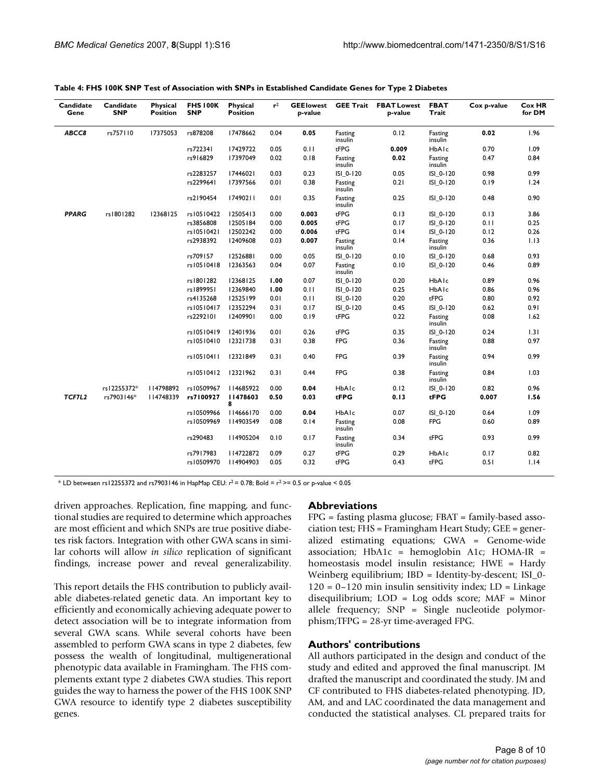| Candidate<br>Gene | Candidate<br><b>SNP</b> | Physical<br><b>Position</b> | <b>FHS 100K</b><br><b>SNP</b> | Physical<br><b>Position</b> | $r^2$ | <b>GEE</b> lowest<br>p-value | <b>GEE Trait</b>   | <b>FBAT Lowest</b><br>p-value | <b>FBAT</b><br>Trait | Cox p-value | <b>Cox HR</b><br>for DM |
|-------------------|-------------------------|-----------------------------|-------------------------------|-----------------------------|-------|------------------------------|--------------------|-------------------------------|----------------------|-------------|-------------------------|
| ABCC8             | rs757110                | 17375053                    | rs878208                      | 17478662                    | 0.04  | 0.05                         | Fasting<br>insulin | 0.12                          | Fasting<br>insulin   | 0.02        | 1.96                    |
|                   |                         |                             | rs722341                      | 17429722                    | 0.05  | 0.11                         | tFPG               | 0.009                         | HbAlc                | 0.70        | 1.09                    |
|                   |                         |                             | rs916829                      | 17397049                    | 0.02  | 0.18                         | Fasting<br>insulin | 0.02                          | Fasting<br>insulin   | 0.47        | 0.84                    |
|                   |                         |                             | rs2283257                     | 17446021                    | 0.03  | 0.23                         | ISI_0-120          | 0.05                          | ISI_0-120            | 0.98        | 0.99                    |
|                   |                         |                             | rs2299641                     | 17397566                    | 0.01  | 0.38                         | Fasting<br>insulin | 0.21                          | ISI_0-120            | 0.19        | 1.24                    |
|                   |                         |                             | rs2190454                     | 17490211                    | 0.01  | 0.35                         | Fasting<br>insulin | 0.25                          | ISI 0-120            | 0.48        | 0.90                    |
| <b>PPARG</b>      | rs1801282               | 12368125                    | rs10510422                    | 12505413                    | 0.00  | 0.003                        | tFPG               | 0.13                          | ISI 0-120            | 0.13        | 3.86                    |
|                   |                         |                             | rs3856808                     | 12505184                    | 0.00  | 0.005                        | tFPG               | 0.17                          | ISI 0-120            | 0.11        | 0.25                    |
|                   |                         |                             | rs10510421                    | 12502242                    | 0.00  | 0.006                        | tFPG               | 0.14                          | ISI_0-120            | 0.12        | 0.26                    |
|                   |                         |                             | rs2938392                     | 12409608                    | 0.03  | 0.007                        | Fasting<br>insulin | 0.14                          | Fasting<br>insulin   | 0.36        | 1.13                    |
|                   |                         |                             | rs709157                      | 12526881                    | 0.00  | 0.05                         | ISI_0-120          | 0.10                          | ISI_0-120            | 0.68        | 0.93                    |
|                   |                         |                             | rs10510418                    | 12363563                    | 0.04  | 0.07                         | Fasting<br>insulin | 0.10                          | ISI_0-120            | 0.46        | 0.89                    |
|                   |                         |                             | rs1801282                     | 12368125                    | 1.00  | 0.07                         | ISI_0-120          | 0.20                          | HbAlc                | 0.89        | 0.96                    |
|                   |                         |                             | rs1899951                     | 12369840                    | 1.00  | 0.11                         | ISI_0-120          | 0.25                          | HbAlc                | 0.86        | 0.96                    |
|                   |                         |                             | rs4135268                     | 12525199                    | 0.01  | 0.11                         | ISI 0-120          | 0.20                          | $t$ FPG              | 0.80        | 0.92                    |
|                   |                         |                             | rs10510417                    | 12352294                    | 0.31  | 0.17                         | ISI 0-120          | 0.45                          | ISI 0-120            | 0.62        | 0.91                    |
|                   |                         |                             | rs2292101                     | 12409901                    | 0.00  | 0.19                         | tFPG               | 0.22                          | Fasting<br>insulin   | 0.08        | 1.62                    |
|                   |                         |                             | rs10510419                    | 12401936                    | 0.01  | 0.26                         | tFPG               | 0.35                          | ISI_0-120            | 0.24        | 1.31                    |
|                   |                         |                             | rs10510410                    | 12321738                    | 0.31  | 0.38                         | FPG                | 0.36                          | Fasting<br>insulin   | 0.88        | 0.97                    |
|                   |                         |                             | rs10510411                    | 12321849                    | 0.31  | 0.40                         | FPG                | 0.39                          | Fasting<br>insulin   | 0.94        | 0.99                    |
|                   |                         |                             | rs10510412                    | 12321962                    | 0.31  | 0.44                         | <b>FPG</b>         | 0.38                          | Fasting<br>insulin   | 0.84        | 1.03                    |
|                   | rs12255372*             | 114798892                   | rs10509967                    | 114685922                   | 0.00  | 0.04                         | HbAlc              | 0.12                          | ISI_0-120            | 0.82        | 0.96                    |
| TCF7L2            | rs7903146*              | 114748339                   | rs7100927                     | 11478603<br>8               | 0.50  | 0.03                         | tFPG               | 0.13                          | tFPG                 | 0.007       | 1.56                    |
|                   |                         |                             | rs10509966                    | 114666170                   | 0.00  | 0.04                         | HbAlc              | 0.07                          | ISI 0-120            | 0.64        | 1.09                    |
|                   |                         |                             | rs10509969                    | 114903549                   | 0.08  | 0.14                         | Fasting<br>insulin | 0.08                          | FPG                  | 0.60        | 0.89                    |
|                   |                         |                             | rs290483                      | II4905204                   | 0.10  | 0.17                         | Fasting<br>insulin | 0.34                          | tFPG                 | 0.93        | 0.99                    |
|                   |                         |                             | rs7917983                     | 114722872                   | 0.09  | 0.27                         | tFPG               | 0.29                          | HbAlc                | 0.17        | 0.82                    |
|                   |                         |                             | rs10509970                    | 114904903                   | 0.05  | 0.32                         | tFPG               | 0.43                          | tFPG                 | 0.51        | 1.14                    |

|  | Table 4: FHS 100K SNP Test of Association with SNPs in Established Candidate Genes for Type 2 Diabetes |  |  |  |
|--|--------------------------------------------------------------------------------------------------------|--|--|--|
|--|--------------------------------------------------------------------------------------------------------|--|--|--|

\* LD betweaen rs12255372 and rs7903146 in HapMap CEU:  $r^2$  = 0.78; Bold =  $r^2$  > = 0.5 or p-value < 0.05

driven approaches. Replication, fine mapping, and functional studies are required to determine which approaches are most efficient and which SNPs are true positive diabetes risk factors. Integration with other GWA scans in similar cohorts will allow *in silico* replication of significant findings, increase power and reveal generalizability.

This report details the FHS contribution to publicly available diabetes-related genetic data. An important key to efficiently and economically achieving adequate power to detect association will be to integrate information from several GWA scans. While several cohorts have been assembled to perform GWA scans in type 2 diabetes, few possess the wealth of longitudinal, multigenerational phenotypic data available in Framingham. The FHS complements extant type 2 diabetes GWA studies. This report guides the way to harness the power of the FHS 100K SNP GWA resource to identify type 2 diabetes susceptibility genes.

#### **Abbreviations**

 $FPG =$  fasting plasma glucose;  $FBAT =$  family-based association test; FHS = Framingham Heart Study; GEE = generalized estimating equations; GWA = Genome-wide association; HbA1c = hemoglobin A1c; HOMA-IR = homeostasis model insulin resistance; HWE = Hardy Weinberg equilibrium; IBD = Identity-by-descent; ISI\_0-  $120 = 0-120$  min insulin sensitivity index; LD = Linkage disequilibrium; LOD = Log odds score; MAF = Minor allele frequency; SNP = Single nucleotide polymorphism;TFPG = 28-yr time-averaged FPG.

### **Authors' contributions**

All authors participated in the design and conduct of the study and edited and approved the final manuscript. JM drafted the manuscript and coordinated the study. JM and CF contributed to FHS diabetes-related phenotyping. JD, AM, and and LAC coordinated the data management and conducted the statistical analyses. CL prepared traits for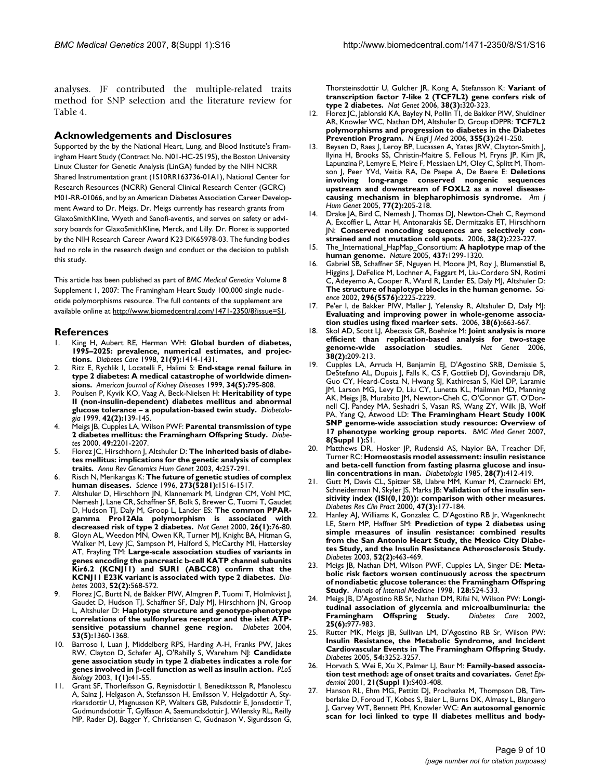analyses. JF contributed the multiple-related traits method for SNP selection and the literature review for Table 4.

# **Acknowledgements and Disclosures**

Supported by the by the National Heart, Lung, and Blood Institute's Framingham Heart Study (Contract No. N01-HC-25195), the Boston University Linux Cluster for Genetic Analysis (LinGA) funded by the NIH NCRR Shared Instrumentation grant (1S10RR163736-01A1), National Center for Research Resources (NCRR) General Clinical Research Center (GCRC) M01-RR-01066, and by an American Diabetes Association Career Development Award to Dr. Meigs. Dr. Meigs currently has research grants from GlaxoSmithKline, Wyeth and Sanofi-aventis, and serves on safety or advisory boards for GlaxoSmithKline, Merck, and Lilly. Dr. Florez is supported by the NIH Research Career Award K23 DK65978-03. The funding bodies had no role in the research design and conduct or the decision to publish this study.

This article has been published as part of *BMC Medical Genetics* Volume 8 Supplement 1, 2007: The Framingham Heart Study 100,000 single nucleotide polymorphisms resource. The full contents of the supplement are available online at<http://www.biomedcentral.com/1471-2350/8?issue=S1>.

# **References**

- 1. King H, Aubert RE, Herman WH: **[Global burden of diabetes,](http://www.ncbi.nlm.nih.gov/entrez/query.fcgi?cmd=Retrieve&db=PubMed&dopt=Abstract&list_uids=9727886) [1995–2025: prevalence, numerical estimates, and projec](http://www.ncbi.nlm.nih.gov/entrez/query.fcgi?cmd=Retrieve&db=PubMed&dopt=Abstract&list_uids=9727886)[tions.](http://www.ncbi.nlm.nih.gov/entrez/query.fcgi?cmd=Retrieve&db=PubMed&dopt=Abstract&list_uids=9727886)** *Diabetes Care* 1998, **21(9):**1414-1431.
- 2. Ritz E, Rychlik I, Locatelli F, Halimi S: **[End-stage renal failure in](http://www.ncbi.nlm.nih.gov/entrez/query.fcgi?cmd=Retrieve&db=PubMed&dopt=Abstract&list_uids=10561134) [type 2 diabetes: A medical catastrophe of worldwide dimen](http://www.ncbi.nlm.nih.gov/entrez/query.fcgi?cmd=Retrieve&db=PubMed&dopt=Abstract&list_uids=10561134)[sions.](http://www.ncbi.nlm.nih.gov/entrez/query.fcgi?cmd=Retrieve&db=PubMed&dopt=Abstract&list_uids=10561134)** *American Journal of Kidney Diseases* 1999, **34(5):**795-808.
- 3. Poulsen P, Kyvik KO, Vaag A, Beck-Nielsen H: **[Heritability of type](http://www.ncbi.nlm.nih.gov/entrez/query.fcgi?cmd=Retrieve&db=PubMed&dopt=Abstract&list_uids=10064092) [II \(non-insulin-dependent\) diabetes mellitus and abnormal](http://www.ncbi.nlm.nih.gov/entrez/query.fcgi?cmd=Retrieve&db=PubMed&dopt=Abstract&list_uids=10064092) [glucose tolerance – a population-based twin study.](http://www.ncbi.nlm.nih.gov/entrez/query.fcgi?cmd=Retrieve&db=PubMed&dopt=Abstract&list_uids=10064092)** *Diabetologia* 1999, **42(2):**139-145.
- 4. Meigs JB, Cupples LA, Wilson PWF: **[Parental transmission of type](http://www.ncbi.nlm.nih.gov/entrez/query.fcgi?cmd=Retrieve&db=PubMed&dopt=Abstract&list_uids=11118026) [2 diabetes mellitus: the Framingham Offspring Study.](http://www.ncbi.nlm.nih.gov/entrez/query.fcgi?cmd=Retrieve&db=PubMed&dopt=Abstract&list_uids=11118026)** *Diabetes* 2000, **49:**2201-2207.
- 5. Florez JC, Hirschhorn J, Altshuler D: **[The inherited basis of diabe](http://www.ncbi.nlm.nih.gov/entrez/query.fcgi?cmd=Retrieve&db=PubMed&dopt=Abstract&list_uids=14527304)[tes mellitus: implications for the genetic analysis of complex](http://www.ncbi.nlm.nih.gov/entrez/query.fcgi?cmd=Retrieve&db=PubMed&dopt=Abstract&list_uids=14527304) [traits.](http://www.ncbi.nlm.nih.gov/entrez/query.fcgi?cmd=Retrieve&db=PubMed&dopt=Abstract&list_uids=14527304)** *Annu Rev Genomics Hum Genet* 2003, **4:**257-291.
- 6. Risch N, Merikangas K: **[The future of genetic studies of complex](http://www.ncbi.nlm.nih.gov/entrez/query.fcgi?cmd=Retrieve&db=PubMed&dopt=Abstract&list_uids=8801636) [human diseases.](http://www.ncbi.nlm.nih.gov/entrez/query.fcgi?cmd=Retrieve&db=PubMed&dopt=Abstract&list_uids=8801636)** *Science* 1996, **273(5281):**1516-1517.
- 7. Altshuler D, Hirschhorn JN, Klannemark M, Lindgren CM, Vohl MC, Nemesh J, Lane CR, Schaffner SF, Bolk S, Brewer C, Tuomi T, Gaudet D, Hudson TJ, Daly M, Groop L, Lander ES: **[The common PPAR](http://www.ncbi.nlm.nih.gov/entrez/query.fcgi?cmd=Retrieve&db=PubMed&dopt=Abstract&list_uids=10973253)**gamma Pro12Ala polymorphism is associated **[decreased risk of type 2 diabetes.](http://www.ncbi.nlm.nih.gov/entrez/query.fcgi?cmd=Retrieve&db=PubMed&dopt=Abstract&list_uids=10973253)** *Nat Genet* 2000, **26(1):**76-80.
- Gloyn AL, Weedon MN, Owen KR, Turner MJ, Knight BA, Hitman G, Walker M, Levy JC, Sampson M, Halford S, McCarthy MI, Hattersley AT, Frayling TM: **[Large-scale association studies of variants in](http://www.ncbi.nlm.nih.gov/entrez/query.fcgi?cmd=Retrieve&db=PubMed&dopt=Abstract&list_uids=12540637) [genes encoding the pancreatic b-cell KATP channel subunits](http://www.ncbi.nlm.nih.gov/entrez/query.fcgi?cmd=Retrieve&db=PubMed&dopt=Abstract&list_uids=12540637) Kir6.2 (KCNJ11) and SUR1 (ABCC8) confirm that the [KCNJ11 E23K variant is associated with type 2 diabetes.](http://www.ncbi.nlm.nih.gov/entrez/query.fcgi?cmd=Retrieve&db=PubMed&dopt=Abstract&list_uids=12540637)** *Diabetes* 2003, **52(2):**568-572.
- Florez JC, Burtt N, de Bakker PIW, Almgren P, Tuomi T, Holmkvist J, Gaudet D, Hudson TJ, Schaffner SF, Daly MJ, Hirschhorn JN, Groop L, Altshuler D: **[Haplotype structure and genotype-phenotype](http://www.ncbi.nlm.nih.gov/entrez/query.fcgi?cmd=Retrieve&db=PubMed&dopt=Abstract&list_uids=15111507) [correlations of the sulfonylurea receptor and the islet ATP](http://www.ncbi.nlm.nih.gov/entrez/query.fcgi?cmd=Retrieve&db=PubMed&dopt=Abstract&list_uids=15111507)[sensitive potassium channel gene region.](http://www.ncbi.nlm.nih.gov/entrez/query.fcgi?cmd=Retrieve&db=PubMed&dopt=Abstract&list_uids=15111507)** *Diabetes* 2004, **53(5):**1360-1368.
- 10. Barroso I, Luan J, Middelberg RPS, Harding A-H, Franks PW, Jakes RW, Clayton D, Schafer AJ, O'Rahilly S, Wareham NJ: **Candidate gene association study in type 2 diabetes indicates a role for genes involved in** β**-cell function as well as insulin action.** *PLoS Biology* 2003, **1(1):**41-55.
- 11. Grant SF, Thorleifsson G, Reynisdottir I, Benediktsson R, Manolescu A, Sainz J, Helgason A, Stefansson H, Emilsson V, Helgadottir A, Styrkarsdottir U, Magnusson KP, Walters GB, Palsdottir E, Jonsdottir T, Gudmundsdottir T, Gylfason A, Saemundsdottir J, Wilensky RL, Reilly MP, Rader DJ, Bagger Y, Christiansen C, Gudnason V, Sigurdsson G,

Thorsteinsdottir U, Gulcher JR, Kong A, Stefansson K: **[Variant of](http://www.ncbi.nlm.nih.gov/entrez/query.fcgi?cmd=Retrieve&db=PubMed&dopt=Abstract&list_uids=16415884) [transcription factor 7-like 2 \(TCF7L2\) gene confers risk of](http://www.ncbi.nlm.nih.gov/entrez/query.fcgi?cmd=Retrieve&db=PubMed&dopt=Abstract&list_uids=16415884) [type 2 diabetes.](http://www.ncbi.nlm.nih.gov/entrez/query.fcgi?cmd=Retrieve&db=PubMed&dopt=Abstract&list_uids=16415884)** *Nat Genet* 2006, **38(3):**320-323.

- 12. Florez JC, Jablonski KA, Bayley N, Pollin TI, de Bakker PIW, Shuldiner AR, Knowler WC, Nathan DM, Altshuler D, Group tDPPR: **[TCF7L2](http://www.ncbi.nlm.nih.gov/entrez/query.fcgi?cmd=Retrieve&db=PubMed&dopt=Abstract&list_uids=16855264) [polymorphisms and progression to diabetes in the Diabetes](http://www.ncbi.nlm.nih.gov/entrez/query.fcgi?cmd=Retrieve&db=PubMed&dopt=Abstract&list_uids=16855264) [Prevention Program.](http://www.ncbi.nlm.nih.gov/entrez/query.fcgi?cmd=Retrieve&db=PubMed&dopt=Abstract&list_uids=16855264)** *N Engl J Med* 2006, **355(3):**241-250.
- 13. Beysen D, Raes J, Leroy BP, Lucassen A, Yates JRW, Clayton-Smith J, Ilyina H, Brooks SS, Christin-Maitre S, Fellous M, Fryns JP, Kim JR, Lapunzina P, Lemyre E, Meire F, Messiaen LM, Oley C, Splitt M, Thomson J, Peer YVd, Veitia RA, De Paepe A, De Baere E: **[Deletions](http://www.ncbi.nlm.nih.gov/entrez/query.fcgi?cmd=Retrieve&db=PubMed&dopt=Abstract&list_uids=15962237) [involving long-range conserved nongenic sequences](http://www.ncbi.nlm.nih.gov/entrez/query.fcgi?cmd=Retrieve&db=PubMed&dopt=Abstract&list_uids=15962237) upstream and downstream of FOXL2 as a novel disease[causing mechanism in blepharophimosis syndrome.](http://www.ncbi.nlm.nih.gov/entrez/query.fcgi?cmd=Retrieve&db=PubMed&dopt=Abstract&list_uids=15962237)** *Am J Hum Genet* 2005, **77(2):**205-218.
- 14. Drake JA, Bird C, Nemesh J, Thomas DJ, Newton-Cheh C, Reymond A, Excoffier L, Attar H, Antonarakis SE, Dermitzakis ET, Hirschhorn JN: **[Conserved noncoding sequences are selectively con](http://www.ncbi.nlm.nih.gov/entrez/query.fcgi?cmd=Retrieve&db=PubMed&dopt=Abstract&list_uids=16380714)[strained and not mutation cold spots.](http://www.ncbi.nlm.nih.gov/entrez/query.fcgi?cmd=Retrieve&db=PubMed&dopt=Abstract&list_uids=16380714)** 2006, **38(2):**223-227.
- 15. The\_International\_HapMap\_Consortium: **[A haplotype map of the](http://www.ncbi.nlm.nih.gov/entrez/query.fcgi?cmd=Retrieve&db=PubMed&dopt=Abstract&list_uids=16255080) [human genome.](http://www.ncbi.nlm.nih.gov/entrez/query.fcgi?cmd=Retrieve&db=PubMed&dopt=Abstract&list_uids=16255080)** *Nature* 2005, **437:**1299-1320.
- 16. Gabriel SB, Schaffner SF, Nguyen H, Moore JM, Roy J, Blumenstiel B, Higgins J, DeFelice M, Lochner A, Faggart M, Liu-Cordero SN, Rotimi C, Adeyemo A, Cooper R, Ward R, Lander ES, Daly MJ, Altshuler D: **[The structure of haplotype blocks in the human genome.](http://www.ncbi.nlm.nih.gov/entrez/query.fcgi?cmd=Retrieve&db=PubMed&dopt=Abstract&list_uids=12029063)** *Science* 2002, **296(5576):**2225-2229.
- 17. Pe'er I, de Bakker PIW, Maller J, Yelensky R, Altshuler D, Daly MJ: **[Evaluating and improving power in whole-genome associa](http://www.ncbi.nlm.nih.gov/entrez/query.fcgi?cmd=Retrieve&db=PubMed&dopt=Abstract&list_uids=16715096)[tion studies using fixed marker sets.](http://www.ncbi.nlm.nih.gov/entrez/query.fcgi?cmd=Retrieve&db=PubMed&dopt=Abstract&list_uids=16715096)** 2006, **38(6):**663-667.
- 18. Skol AD, Scott LJ, Abecasis GR, Boehnke M: **[Joint analysis is more](http://www.ncbi.nlm.nih.gov/entrez/query.fcgi?cmd=Retrieve&db=PubMed&dopt=Abstract&list_uids=16415888) [efficient than replication-based analysis for two-stage](http://www.ncbi.nlm.nih.gov/entrez/query.fcgi?cmd=Retrieve&db=PubMed&dopt=Abstract&list_uids=16415888)** [genome-wide association studies.](http://www.ncbi.nlm.nih.gov/entrez/query.fcgi?cmd=Retrieve&db=PubMed&dopt=Abstract&list_uids=16415888) **38(2):**209-213.
- 19. Cupples LA, Arruda H, Benjamin EJ, D'Agostino SRB, Demissie S, DeStefano AL, Dupuis J, Falls K, CS F, Gottlieb DJ, Govindaraju DR, Guo CY, Heard-Costa N, Hwang SJ, Kathiresan S, Kiel DP, Laramie JM, Larson MG, Levy D, Liu CY, Lunetta KL, Mailman MD, Manning AK, Meigs JB, Murabito JM, Newton-Cheh C, O'Connor GT, O'Donnell CJ, Pandey MA, Seshadri S, Vasan RS, Wang ZY, Wilk JB, Wolf PA, Yang Q, Atwood LD: **The Framingham Heart Study 100K SNP genome-wide association study resource: Overview of 17 phenotype working group reports.** *BMC Med Genet* 2007, **8(Suppl 1):**S1.
- 20. Matthews DR, Hosker JP, Rudenski AS, Naylor BA, Treacher DF, Turner RC: **[Homeostasis model assessment: insulin resistance](http://www.ncbi.nlm.nih.gov/entrez/query.fcgi?cmd=Retrieve&db=PubMed&dopt=Abstract&list_uids=3899825) [and beta-cell function from fasting plasma glucose and insu](http://www.ncbi.nlm.nih.gov/entrez/query.fcgi?cmd=Retrieve&db=PubMed&dopt=Abstract&list_uids=3899825)[lin concentrations in man.](http://www.ncbi.nlm.nih.gov/entrez/query.fcgi?cmd=Retrieve&db=PubMed&dopt=Abstract&list_uids=3899825)** *Diabetologia* 1985, **28(7):**412-419.
- 21. Gutt M, Davis CL, Spitzer SB, Llabre MM, Kumar M, Czarnecki EM, Schneiderman N, Skyler JS, Marks JB: **[Validation of the insulin sen](http://www.ncbi.nlm.nih.gov/entrez/query.fcgi?cmd=Retrieve&db=PubMed&dopt=Abstract&list_uids=10741566)[sitivity index \(ISI\(0,120\)\): comparison with other measures.](http://www.ncbi.nlm.nih.gov/entrez/query.fcgi?cmd=Retrieve&db=PubMed&dopt=Abstract&list_uids=10741566)** *Diabetes Res Clin Pract* 2000, **47(3):**177-184.
- 22. Hanley AJ, Williams K, Gonzalez C, D'Agostino RB Jr, Wagenknecht LE, Stern MP, Haffner SM: **[Prediction of type 2 diabetes using](http://www.ncbi.nlm.nih.gov/entrez/query.fcgi?cmd=Retrieve&db=PubMed&dopt=Abstract&list_uids=12540622) [simple measures of insulin resistance: combined results](http://www.ncbi.nlm.nih.gov/entrez/query.fcgi?cmd=Retrieve&db=PubMed&dopt=Abstract&list_uids=12540622) from the San Antonio Heart Study, the Mexico City Diabetes Study, and the Insulin Resistance Atherosclerosis Study.** *Diabetes* 2003, **52(2):**463-469.
- 23. Meigs JB, Nathan DM, Wilson PWF, Cupples LA, Singer DE: **[Meta](http://www.ncbi.nlm.nih.gov/entrez/query.fcgi?cmd=Retrieve&db=PubMed&dopt=Abstract&list_uids=9518396)[bolic risk factors worsen continuously across the spectrum](http://www.ncbi.nlm.nih.gov/entrez/query.fcgi?cmd=Retrieve&db=PubMed&dopt=Abstract&list_uids=9518396) of nondiabetic glucose tolerance: the Framingham Offspring [Study.](http://www.ncbi.nlm.nih.gov/entrez/query.fcgi?cmd=Retrieve&db=PubMed&dopt=Abstract&list_uids=9518396)** *Annals of Internal Medicine* 1998, **128:**524-533.
- 24. Meigs JB, D'Agostino RB Sr, Nathan DM, Rifai N, Wilson PW: **[Longi](http://www.ncbi.nlm.nih.gov/entrez/query.fcgi?cmd=Retrieve&db=PubMed&dopt=Abstract&list_uids=12032102)[tudinal association of glycemia and microalbuminuria: the](http://www.ncbi.nlm.nih.gov/entrez/query.fcgi?cmd=Retrieve&db=PubMed&dopt=Abstract&list_uids=12032102) [Framingham Offspring Study.](http://www.ncbi.nlm.nih.gov/entrez/query.fcgi?cmd=Retrieve&db=PubMed&dopt=Abstract&list_uids=12032102)** *Diabetes Care* 2002, **25(6):**977-983.
- 25. Rutter MK, Meigs JB, Sullivan LM, D'Agostino RB Sr, Wilson PW: **[Insulin Resistance, the Metabolic Syndrome, and Incident](http://www.ncbi.nlm.nih.gov/entrez/query.fcgi?cmd=Retrieve&db=PubMed&dopt=Abstract&list_uids=16249452) Cardiovascular Events in The Framingham Offspring Study.** *Diabetes* 2005, **54:**3252-3257.
- 26. Horvath S, Wei E, Xu X, Palmer LJ, Baur M: [Family-based associa](http://www.ncbi.nlm.nih.gov/entrez/query.fcgi?cmd=Retrieve&db=PubMed&dopt=Abstract&list_uids=11793708)**[tion test method: age of onset traits and covariates.](http://www.ncbi.nlm.nih.gov/entrez/query.fcgi?cmd=Retrieve&db=PubMed&dopt=Abstract&list_uids=11793708)** *Genet Epidemiol* 2001, **21(Suppl 1):**S403-408.
- Hanson RL, Ehm MG, Pettitt DJ, Prochazka M, Thompson DB, Timberlake D, Foroud T, Kobes S, Baier L, Burns DK, Almasy L, Blangero J, Garvey WT, Bennett PH, Knowler WC: **[An autosomal genomic](http://www.ncbi.nlm.nih.gov/entrez/query.fcgi?cmd=Retrieve&db=PubMed&dopt=Abstract&list_uids=9758619) [scan for loci linked to type II diabetes mellitus and body](http://www.ncbi.nlm.nih.gov/entrez/query.fcgi?cmd=Retrieve&db=PubMed&dopt=Abstract&list_uids=9758619)-**